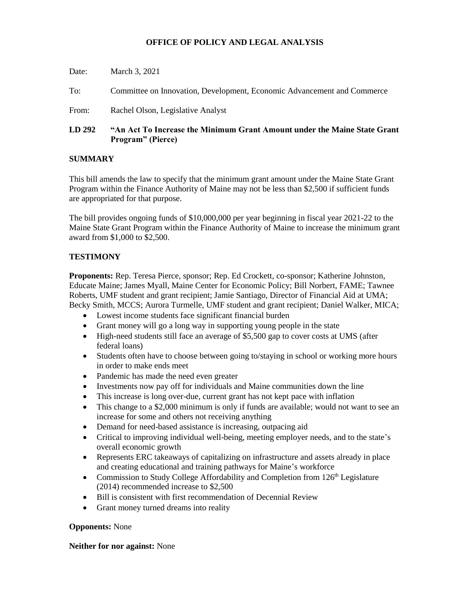# **OFFICE OF POLICY AND LEGAL ANALYSIS**

| LD 292 | "An Act To Increase the Minimum Grant Amount under the Maine State Grant<br><b>Program</b> " (Pierce) |
|--------|-------------------------------------------------------------------------------------------------------|
| From:  | Rachel Olson, Legislative Analyst                                                                     |
| To:    | Committee on Innovation, Development, Economic Advancement and Commerce                               |
| Date:  | March 3, 2021                                                                                         |

# **SUMMARY**

This bill amends the law to specify that the minimum grant amount under the Maine State Grant Program within the Finance Authority of Maine may not be less than \$2,500 if sufficient funds are appropriated for that purpose.

The bill provides ongoing funds of \$10,000,000 per year beginning in fiscal year 2021-22 to the Maine State Grant Program within the Finance Authority of Maine to increase the minimum grant award from \$1,000 to \$2,500.

### **TESTIMONY**

**Proponents:** Rep. Teresa Pierce, sponsor; Rep. Ed Crockett, co-sponsor; Katherine Johnston, Educate Maine; James Myall, Maine Center for Economic Policy; Bill Norbert, FAME; Tawnee Roberts, UMF student and grant recipient; Jamie Santiago, Director of Financial Aid at UMA; Becky Smith, MCCS; Aurora Turmelle, UMF student and grant recipient; Daniel Walker, MICA;

- Lowest income students face significant financial burden
- Grant money will go a long way in supporting young people in the state
- High-need students still face an average of \$5,500 gap to cover costs at UMS (after federal loans)
- Students often have to choose between going to/staying in school or working more hours in order to make ends meet
- Pandemic has made the need even greater
- Investments now pay off for individuals and Maine communities down the line
- This increase is long over-due, current grant has not kept pace with inflation
- This change to a \$2,000 minimum is only if funds are available; would not want to see an increase for some and others not receiving anything
- Demand for need-based assistance is increasing, outpacing aid
- Critical to improving individual well-being, meeting employer needs, and to the state's overall economic growth
- Represents ERC takeaways of capitalizing on infrastructure and assets already in place and creating educational and training pathways for Maine's workforce
- Commission to Study College Affordability and Completion from  $126<sup>th</sup>$  Legislature (2014) recommended increase to \$2,500
- Bill is consistent with first recommendation of Decennial Review
- Grant money turned dreams into reality

### **Opponents:** None

### **Neither for nor against:** None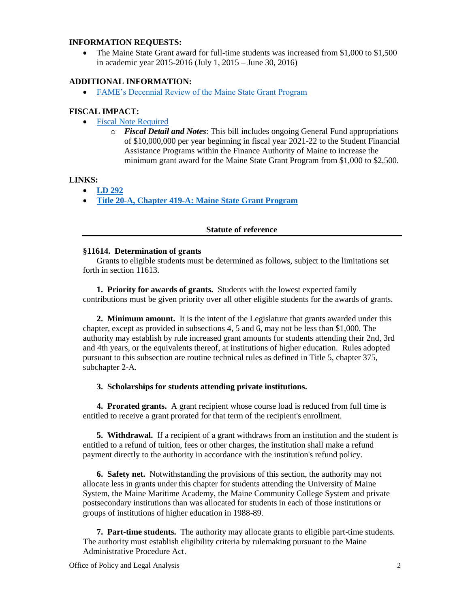## **INFORMATION REQUESTS:**

• The Maine State Grant award for full-time students was increased from \$1,000 to \$1,500 in academic year 2015-2016 (July 1, 2015 – June 30, 2016)

### **ADDITIONAL INFORMATION:**

• [FAME's Decennial Review of the Maine State Grant Program](Decennial%20Review%20of%20the%20Maine%20State%20Grant%20Program%20(PDF).pdf)

#### **FISCAL IMPACT:**

- [Fiscal Note Required](http://www.mainelegislature.org/legis/bills/bills_130th/fiscalpdfs/FN029201.pdf)
	- o *Fiscal Detail and Notes*: This bill includes ongoing General Fund appropriations of \$10,000,000 per year beginning in fiscal year 2021-22 to the Student Financial Assistance Programs within the Finance Authority of Maine to increase the minimum grant award for the Maine State Grant Program from \$1,000 to \$2,500.

#### **LINKS:**

- **[LD 292](http://www.mainelegislature.org/legis/bills/getPDF.asp?paper=HP0205&item=1&snum=130)**
- **[Title 20-A, Chapter 419-A: Maine State Grant Program](http://legislature.maine.gov/legis/statutes/20-A/title20-Ach419-Asec0.html)**

#### **Statute of reference**

#### **§11614. Determination of grants**

Grants to eligible students must be determined as follows, subject to the limitations set forth in section 11613.

**1. Priority for awards of grants.** Students with the lowest expected family contributions must be given priority over all other eligible students for the awards of grants.

**2. Minimum amount.** It is the intent of the Legislature that grants awarded under this chapter, except as provided in subsections 4, 5 and 6, may not be less than \$1,000. The authority may establish by rule increased grant amounts for students attending their 2nd, 3rd and 4th years, or the equivalents thereof, at institutions of higher education. Rules adopted pursuant to this subsection are routine technical rules as defined in Title 5, chapter 375, subchapter 2-A.

#### **3. Scholarships for students attending private institutions.**

**4. Prorated grants.** A grant recipient whose course load is reduced from full time is entitled to receive a grant prorated for that term of the recipient's enrollment.

**5. Withdrawal.** If a recipient of a grant withdraws from an institution and the student is entitled to a refund of tuition, fees or other charges, the institution shall make a refund payment directly to the authority in accordance with the institution's refund policy.

**6. Safety net.** Notwithstanding the provisions of this section, the authority may not allocate less in grants under this chapter for students attending the University of Maine System, the Maine Maritime Academy, the Maine Community College System and private postsecondary institutions than was allocated for students in each of those institutions or groups of institutions of higher education in 1988-89.

**7. Part-time students.** The authority may allocate grants to eligible part-time students. The authority must establish eligibility criteria by rulemaking pursuant to the Maine Administrative Procedure Act.